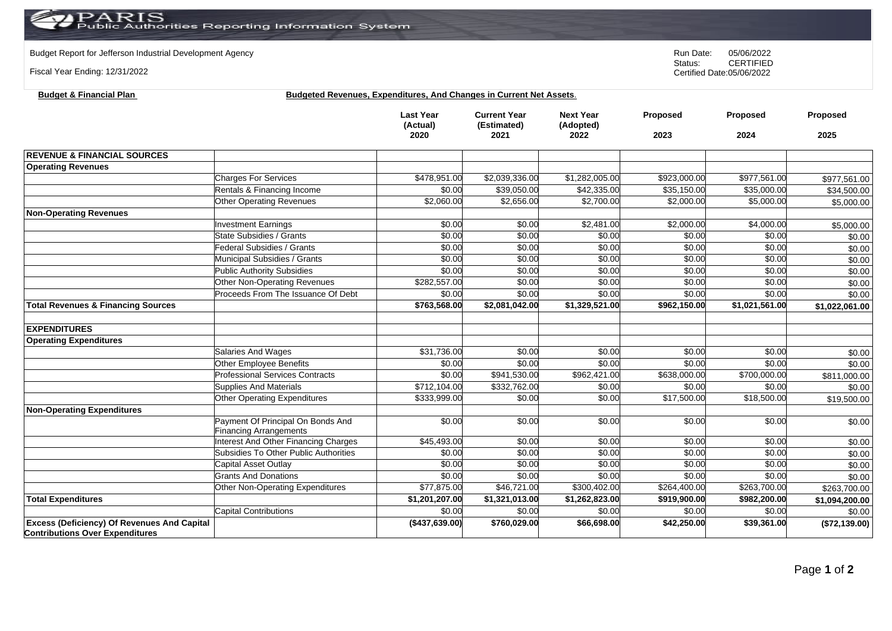Budget Report for Jefferson Industrial Development Agency<br>
Status: CERTIFIED

Fiscal Year Ending: 12/31/2022

**Budget & Financial Plan Budgeted Revenues, Expenditures, And Changes in Current Net Assets**.

|                                                                                              |                                             | <b>Last Year</b><br>(Actual)<br>2020 | <b>Current Year</b><br>(Estimated)<br>2021 | <b>Next Year</b><br>(Adopted)<br>2022 | Proposed<br>2023 | Proposed<br>2024 | Proposed<br>2025 |
|----------------------------------------------------------------------------------------------|---------------------------------------------|--------------------------------------|--------------------------------------------|---------------------------------------|------------------|------------------|------------------|
|                                                                                              |                                             |                                      |                                            |                                       |                  |                  |                  |
| <b>REVENUE &amp; FINANCIAL SOURCES</b>                                                       |                                             |                                      |                                            |                                       |                  |                  |                  |
| <b>Operating Revenues</b>                                                                    |                                             |                                      |                                            |                                       |                  |                  |                  |
|                                                                                              | <b>Charges For Services</b>                 | \$478,951.00                         | \$2,039,336.00                             | \$1,282,005.00                        | \$923,000.00     | \$977,561.00     | \$977,561.00     |
|                                                                                              | Rentals & Financing Income                  | \$0.00                               | \$39,050.00                                | \$42,335,00                           | \$35,150.00      | \$35,000.00      | \$34,500.00      |
|                                                                                              | <b>Other Operating Revenues</b>             | \$2,060.00                           | \$2,656.00                                 | \$2,700.00                            | \$2,000.00       | \$5,000.00       | \$5,000.00       |
| <b>Non-Operating Revenues</b>                                                                |                                             |                                      |                                            |                                       |                  |                  |                  |
|                                                                                              | <b>Investment Earnings</b>                  | \$0.00                               | \$0.00                                     | \$2,481.00                            | \$2,000.00       | \$4,000.00       | \$5,000.00       |
|                                                                                              | State Subsidies / Grants                    | \$0.00                               | \$0.00                                     | \$0.00                                | \$0.00           | \$0.00           | \$0.00           |
|                                                                                              | Federal Subsidies / Grants                  | \$0.00                               | \$0.00                                     | \$0.00                                | \$0.00           | \$0.00           | \$0.00           |
|                                                                                              | Municipal Subsidies / Grants                | \$0.00                               | \$0.00                                     | \$0.00                                | \$0.00           | \$0.00           | \$0.00           |
|                                                                                              | <b>Public Authority Subsidies</b>           | \$0.00                               | \$0.00                                     | \$0.00                                | \$0.00           | \$0.00           | \$0.00           |
|                                                                                              | Other Non-Operating Revenues                | \$282,557.00                         | \$0.00                                     | \$0.00                                | \$0.00           | \$0.00           | \$0.00           |
|                                                                                              | Proceeds From The Issuance Of Debt          | \$0.00                               | \$0.00                                     | \$0.00                                | \$0.00           | \$0.00           | \$0.00           |
| <b>Total Revenues &amp; Financing Sources</b>                                                |                                             | \$763,568.00                         | \$2,081,042.00                             | \$1,329,521.00                        | \$962,150.00     | \$1,021,561.00   | \$1,022,061.00   |
| <b>EXPENDITURES</b>                                                                          |                                             |                                      |                                            |                                       |                  |                  |                  |
| <b>Operating Expenditures</b>                                                                |                                             |                                      |                                            |                                       |                  |                  |                  |
|                                                                                              | <b>Salaries And Wages</b>                   | \$31,736.00                          | \$0.00                                     | \$0.00                                | \$0.00           | \$0.00           | \$0.00           |
|                                                                                              | <b>Other Employee Benefits</b>              | \$0.00                               | \$0.00                                     | \$0.00                                | \$0.00           | \$0.00           | \$0.00           |
|                                                                                              | <b>Professional Services Contracts</b>      | \$0.00                               | \$941,530.00                               | \$962,421.00                          | \$638,000.00     | \$700,000.00     | \$811,000.00     |
|                                                                                              | <b>Supplies And Materials</b>               | \$712,104.00                         | \$332,762.00                               | \$0.00                                | \$0.00           | \$0.00           | \$0.00           |
|                                                                                              | <b>Other Operating Expenditures</b>         | \$333,999.00                         | \$0.00                                     | \$0.00                                | \$17,500.00      | \$18,500.00      | \$19,500.00      |
| <b>Non-Operating Expenditures</b>                                                            |                                             |                                      |                                            |                                       |                  |                  |                  |
|                                                                                              | Payment Of Principal On Bonds And           | \$0.00                               | \$0.00                                     | \$0.00                                | \$0.00           | \$0.00           | \$0.00           |
|                                                                                              | <b>Financing Arrangements</b>               |                                      |                                            |                                       |                  |                  |                  |
|                                                                                              | <b>Interest And Other Financing Charges</b> | \$45,493.00                          | \$0.00                                     | \$0.00                                | \$0.00           | \$0.00           | \$0.00           |
|                                                                                              | Subsidies To Other Public Authorities       | \$0.00                               | \$0.00                                     | \$0.00                                | \$0.00           | \$0.00           | \$0.00           |
|                                                                                              | Capital Asset Outlay                        | \$0.00                               | \$0.00                                     | \$0.00                                | \$0.00           | \$0.00           | \$0.00           |
|                                                                                              | <b>Grants And Donations</b>                 | \$0.00                               | \$0.00                                     | \$0.00                                | \$0.00           | \$0.00           | \$0.00           |
|                                                                                              | <b>Other Non-Operating Expenditures</b>     | \$77,875.00                          | \$46,721.00                                | \$300,402.00                          | \$264,400.00     | \$263,700.00     | \$263,700.00     |
| <b>Total Expenditures</b>                                                                    |                                             | \$1,201,207.00                       | \$1,321,013.00                             | \$1,262,823.00                        | \$919,900.00     | \$982,200.00     | \$1,094,200.00   |
|                                                                                              | <b>Capital Contributions</b>                | \$0.00                               | \$0.00                                     | \$0.00                                | \$0.00           | \$0.00           | \$0.00           |
| <b>Excess (Deficiency) Of Revenues And Capital</b><br><b>Contributions Over Expenditures</b> |                                             | (\$437,639.00)                       | \$760,029.00                               | \$66,698.00                           | \$42,250.00      | \$39,361.00      | (\$72,139.00)    |

CERTIFIED Certified Date:05/06/2022